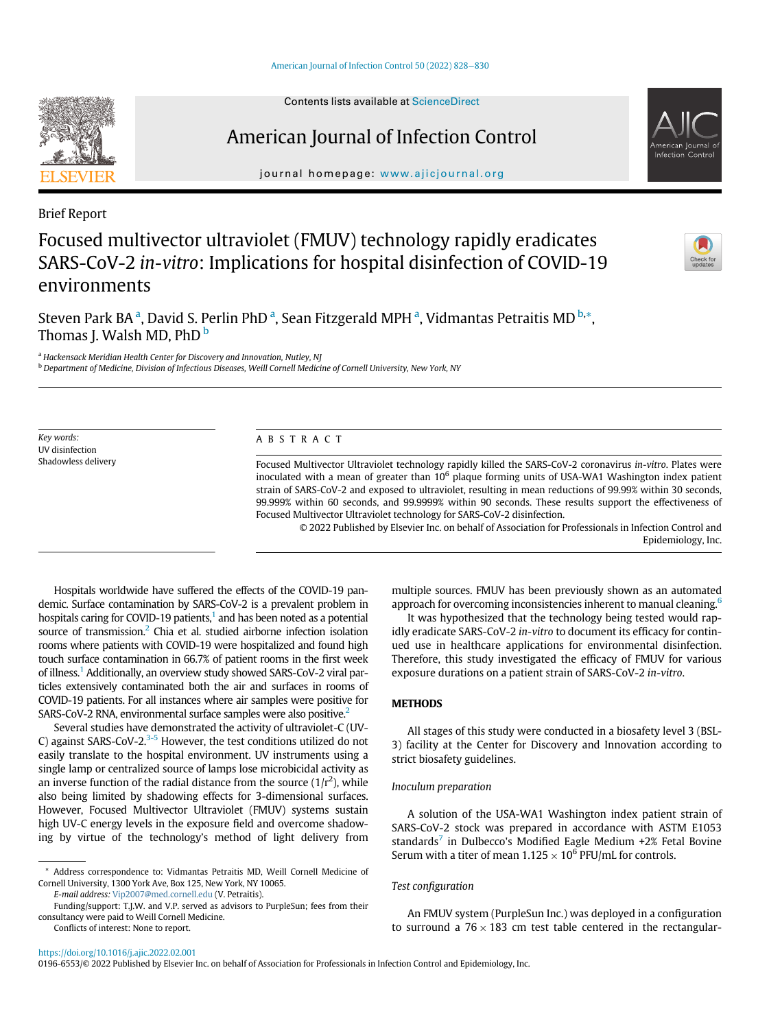# American Journal of Infection Control

journal homepage: [www.ajicjournal.org](http://www.ajicjournal.org)

Brief Report

# Focused multivector ultraviolet (FMUV) technology rapidly eradicates SARS-CoV-2 in-vitro: Implications for hospital disinfection of COVID-19 environments

Steven P[a](#page-0-0)rk BA <sup>a</sup>, David S. Perlin PhD <sup>a</sup>, Sean Fitzgerald MPH <sup>a</sup>, Vidmantas Petraitis MD <sup>[b,](#page-0-1)</sup>[\\*](#page-0-2), Thomas J. Walsh MD, PhD<sup>[b](#page-0-1)</sup>

<span id="page-0-0"></span><sup>a</sup> Hackensack Meridian Health Center for Discovery and Innovation, Nutley, NJ

<span id="page-0-1"></span><sup>b</sup> Department of Medicine, Division of Infectious Diseases, Weill Cornell Medicine of Cornell University, New York, NY

Key words: UV disinfection Shadowless delivery

# ABSTRACT

Focused Multivector Ultraviolet technology rapidly killed the SARS-CoV-2 coronavirus in-vitro. Plates were inoculated with a mean of greater than  $10<sup>6</sup>$  plaque forming units of USA-WA1 Washington index patient strain of SARS-CoV-2 and exposed to ultraviolet, resulting in mean reductions of 99.99% within 30 seconds, 99.999% within 60 seconds, and 99.9999% within 90 seconds. These results support the effectiveness of Focused Multivector Ultraviolet technology for SARS-CoV-2 disinfection.

© 2022 Published by Elsevier Inc. on behalf of Association for Professionals in Infection Control and Epidemiology, Inc.

Hospitals worldwide have suffered the effects of the COVID-19 pandemic. Surface contamination by SARS-CoV-2 is a prevalent problem in hospitals caring for COVID-19 patients, $<sup>1</sup>$  and has been noted as a potential</sup> source of transmission.<sup>2</sup> Chia et al. studied airborne infection isolation rooms where patients with COVID-19 were hospitalized and found high touch surface contamination in 66.7% of patient rooms in the first week of illness.[1](#page-2-0) Additionally, an overview study showed SARS-CoV-2 viral particles extensively contaminated both the air and surfaces in rooms of COVID-19 patients. For all instances where air samples were positive for SARS-CoV-2 RNA, environmental surface samples were also positive[.2](#page-2-1)

Several studies have demonstrated the activity of ultraviolet-C (UV-C) against SARS-CoV-2. $3-5$  However, the test conditions utilized do not easily translate to the hospital environment. UV instruments using a single lamp or centralized source of lamps lose microbicidal activity as an inverse function of the radial distance from the source  $(1/r^2)$ , while also being limited by shadowing effects for 3-dimensional surfaces. However, Focused Multivector Ultraviolet (FMUV) systems sustain high UV-C energy levels in the exposure field and overcome shadowing by virtue of the technology's method of light delivery from

E-mail address: [Vip2007@med.cornell.edu](mailto:Vip2007@med.cornell.edu) (V. Petraitis).

Conflicts of interest: None to report.

multiple sources. FMUV has been previously shown as an automated approach for overcoming inconsistencies inherent to manual cleaning.<sup>[6](#page-2-3)</sup>

It was hypothesized that the technology being tested would rapidly eradicate SARS-CoV-2 in-vitro to document its efficacy for continued use in healthcare applications for environmental disinfection. Therefore, this study investigated the efficacy of FMUV for various exposure durations on a patient strain of SARS-CoV-2 in-vitro.

#### METHODS

All stages of this study were conducted in a biosafety level 3 (BSL-3) facility at the Center for Discovery and Innovation according to strict biosafety guidelines.

### Inoculum preparation

A solution of the USA-WA1 Washington index patient strain of SARS-CoV-2 stock was prepared in accordance with ASTM E1053 standards<sup>[7](#page-2-4)</sup> in Dulbecco's Modified Eagle Medium +2% Fetal Bovine Serum with a titer of mean  $1.125 \times 10^6$  PFU/mL for controls.

### Test configuration

An FMUV system (PurpleSun Inc.) was deployed in a configuration to surround a  $76 \times 183$  cm test table centered in the rectangular-

0196-6553/© 2022 Published by Elsevier Inc. on behalf of Association for Professionals in Infection Control and Epidemiology, Inc.







<span id="page-0-2"></span><sup>\*</sup> Address correspondence to: Vidmantas Petraitis MD, Weill Cornell Medicine of Cornell University, 1300 York Ave, Box 125, New York, NY 10065.

Funding/support: T.J.W. and V.P. served as advisors to PurpleSun; fees from their consultancy were paid to Weill Cornell Medicine.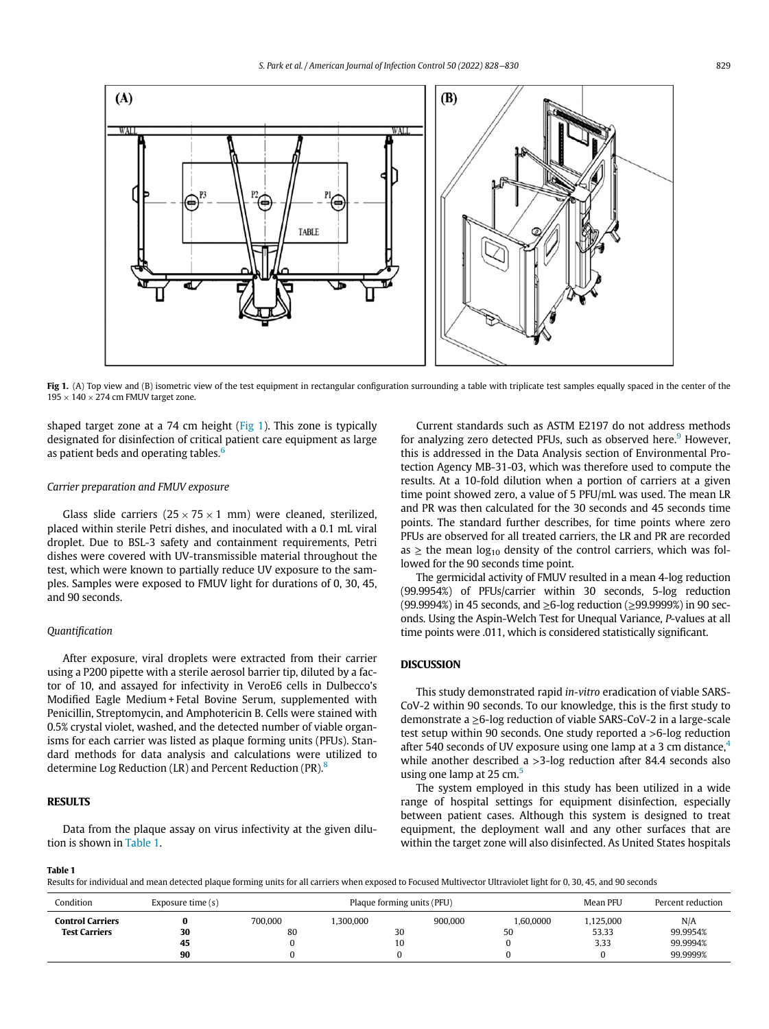<span id="page-1-0"></span>

Fig 1. (A) Top view and (B) isometric view of the test equipment in rectangular configuration surrounding a table with triplicate test samples equally spaced in the center of the  $195 \times 140 \times 274$  cm FMUV target zone.

shaped target zone at a 74 cm height ( $Fig 1$ ). This zone is typically designated for disinfection of critical patient care equipment as large as patient beds and operating tables. $<sup>6</sup>$  $<sup>6</sup>$  $<sup>6</sup>$ </sup>

## Carrier preparation and FMUV exposure

Glass slide carriers  $(25 \times 75 \times 1 \text{ mm})$  were cleaned, sterilized, placed within sterile Petri dishes, and inoculated with a 0.1 mL viral droplet. Due to BSL-3 safety and containment requirements, Petri dishes were covered with UV-transmissible material throughout the test, which were known to partially reduce UV exposure to the samples. Samples were exposed to FMUV light for durations of 0, 30, 45, and 90 seconds.

### Quantification

After exposure, viral droplets were extracted from their carrier using a P200 pipette with a sterile aerosol barrier tip, diluted by a factor of 10, and assayed for infectivity in VeroE6 cells in Dulbecco's Modified Eagle Medium + Fetal Bovine Serum, supplemented with Penicillin, Streptomycin, and Amphotericin B. Cells were stained with 0.5% crystal violet, washed, and the detected number of viable organisms for each carrier was listed as plaque forming units (PFUs). Standard methods for data analysis and calculations were utilized to determine Log Reduction (LR) and Percent Reduction (PR).<sup>[8](#page-2-5)</sup>

# RESULTS

Data from the plaque assay on virus infectivity at the given dilution is shown in [Table 1](#page-1-1).

Current standards such as ASTM E2197 do not address methods for analyzing zero detected PFUs, such as observed here.<sup>[9](#page-2-6)</sup> However, this is addressed in the Data Analysis section of Environmental Protection Agency MB-31-03, which was therefore used to compute the results. At a 10-fold dilution when a portion of carriers at a given time point showed zero, a value of 5 PFU/mL was used. The mean LR and PR was then calculated for the 30 seconds and 45 seconds time points. The standard further describes, for time points where zero PFUs are observed for all treated carriers, the LR and PR are recorded as  $\ge$  the mean log<sub>10</sub> density of the control carriers, which was followed for the 90 seconds time point.

The germicidal activity of FMUV resulted in a mean 4-log reduction (99.9954%) of PFUs/carrier within 30 seconds, 5-log reduction (99.9994%) in 45 seconds, and ≥6-log reduction (≥99.9999%) in 90 seconds. Using the Aspin-Welch Test for Unequal Variance, P-values at all time points were .011, which is considered statistically significant.

#### DISCUSSION

This study demonstrated rapid in-vitro eradication of viable SARS-CoV-2 within 90 seconds. To our knowledge, this is the first study to demonstrate a ≥6-log reduction of viable SARS-CoV-2 in a large-scale test setup within 90 seconds. One study reported a >6-log reduction after 5[4](#page-2-7)0 seconds of UV exposure using one lamp at a 3 cm distance, $4\overline{4}$ while another described a >3-log reduction after 84.4 seconds also using one lamp at  $25 \text{ cm}^5$  $25 \text{ cm}^5$  $25 \text{ cm}^5$ 

The system employed in this study has been utilized in a wide range of hospital settings for equipment disinfection, especially between patient cases. Although this system is designed to treat equipment, the deployment wall and any other surfaces that are within the target zone will also disinfected. As United States hospitals

#### <span id="page-1-1"></span>Table 1

Results for individual and mean detected plaque forming units for all carriers when exposed to Focused Multivector Ultraviolet light for 0, 30, 45, and 90 seconds

| Condition            | Exposure time (s) | Plaque forming units (PFU) |          |         |           | Mean PFU | Percent reduction |
|----------------------|-------------------|----------------------------|----------|---------|-----------|----------|-------------------|
| Control Carriers     |                   | 700.000                    | .300.000 | 900,000 | 1.60.0000 | ,125,000 | N/A               |
| <b>Test Carriers</b> | 30                | 80                         | 30       |         | 50        | 53.33    | 99.9954%          |
|                      | 45                |                            | 10       |         |           | 3.33     | 99.9994%          |
|                      | 90                |                            |          |         |           |          | 99.9999%          |